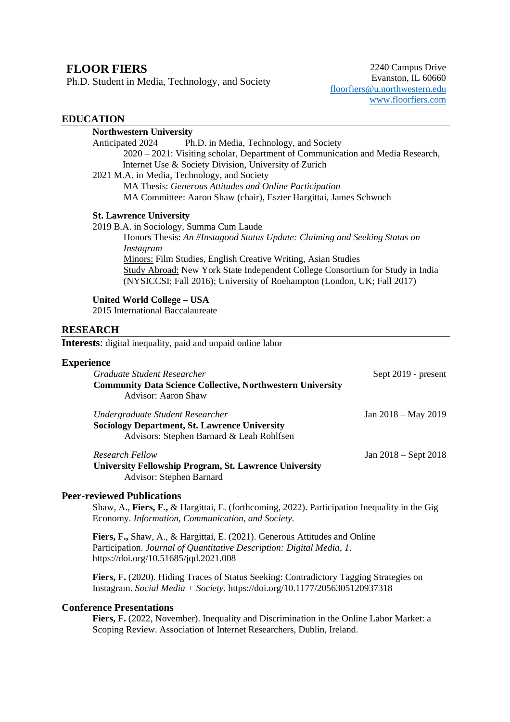# **FLOOR FIERS**

Ph.D. Student in Media, Technology, and Society

2240 Campus Drive Evanston, IL 60660 [floorfiers@u.northwestern.edu](mailto:floorfiers@u.northwestern.edu) [www.floorfiers.com](http://www.floorfiers.com/)

### **EDUCATION**

| <b>Northwestern University</b>                                                 |
|--------------------------------------------------------------------------------|
| Anticipated 2024<br>Ph.D. in Media, Technology, and Society                    |
| 2020 – 2021: Visiting scholar, Department of Communication and Media Research, |
| Internet Use & Society Division, University of Zurich                          |
| 2021 M.A. in Media, Technology, and Society                                    |
| MA Thesis: Generous Attitudes and Online Participation                         |
| MA Committee: Aaron Shaw (chair), Eszter Hargittai, James Schwoch              |
| <b>St. Lawrence University</b>                                                 |
| 2019 B.A. in Sociology, Summa Cum Laude                                        |
| Honors Thesis: An #Instagood Status Update: Claiming and Seeking Status on     |
| Instagram                                                                      |
| <b>Minors: Film Studies, English Creative Writing, Asian Studies</b>           |
| Study Abroad: New York State Independent College Consortium for Study in India |
| (NYSICCSI; Fall 2016); University of Roehampton (London, UK; Fall 2017)        |

#### **United World College – USA**

2015 International Baccalaureate

#### **RESEARCH**

**Interests**: digital inequality, paid and unpaid online labor

### **Experience**

| Graduate Student Researcher                                       | Sept 2019 - present      |
|-------------------------------------------------------------------|--------------------------|
| <b>Community Data Science Collective, Northwestern University</b> |                          |
| Advisor: Aaron Shaw                                               |                          |
| Undergraduate Student Researcher                                  | Jan 2018 – May 2019      |
| <b>Sociology Department, St. Lawrence University</b>              |                          |
| Advisors: Stephen Barnard & Leah Rohlfsen                         |                          |
| Research Fellow                                                   | Jan $2018 -$ Sept $2018$ |
| <b>University Fellowship Program, St. Lawrence University</b>     |                          |
| Advisor: Stephen Barnard                                          |                          |

#### **Peer-reviewed Publications**

Shaw, A., **Fiers, F.,** & Hargittai, E. (forthcoming, 2022). Participation Inequality in the Gig Economy. *Information, Communication, and Society.*

**Fiers, F.,** Shaw, A., & Hargittai, E. (2021). Generous Attitudes and Online Participation. *Journal of Quantitative Description: Digital Media*, *1*. https://doi.org/10.51685/jqd.2021.008

**Fiers, F.** (2020). Hiding Traces of Status Seeking: Contradictory Tagging Strategies on Instagram. *Social Media + Society.* https://doi.org/10.1177/2056305120937318

## **Conference Presentations**

Fiers, F. (2022, November). Inequality and Discrimination in the Online Labor Market: a Scoping Review. Association of Internet Researchers, Dublin, Ireland.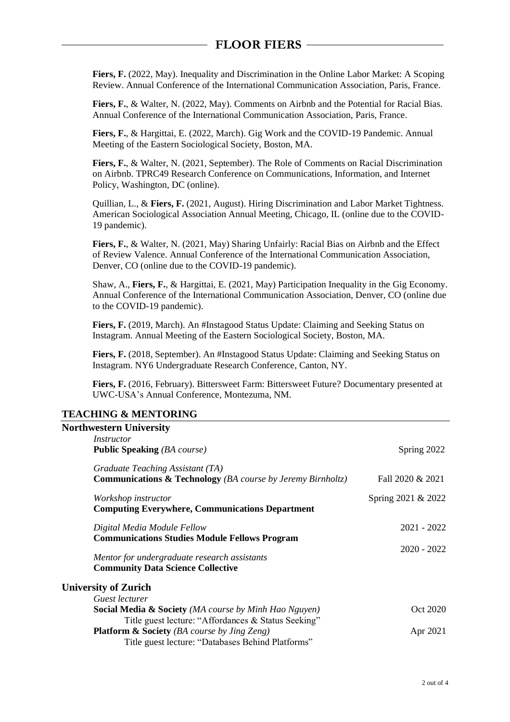**Fiers, F.** (2022, May). Inequality and Discrimination in the Online Labor Market: A Scoping Review. Annual Conference of the International Communication Association, Paris, France.

Fiers, F., & Walter, N. (2022, May). Comments on Airbnb and the Potential for Racial Bias. Annual Conference of the International Communication Association, Paris, France.

**Fiers, F.**, & Hargittai, E. (2022, March). Gig Work and the COVID-19 Pandemic. Annual Meeting of the Eastern Sociological Society, Boston, MA.

**Fiers, F.**, & Walter, N. (2021, September). The Role of Comments on Racial Discrimination on Airbnb. TPRC49 Research Conference on Communications, Information, and Internet Policy, Washington, DC (online).

Quillian, L., & **Fiers, F.** (2021, August). Hiring Discrimination and Labor Market Tightness. American Sociological Association Annual Meeting, Chicago, IL (online due to the COVID-19 pandemic).

**Fiers, F.**, & Walter, N. (2021, May) Sharing Unfairly: Racial Bias on Airbnb and the Effect of Review Valence. Annual Conference of the International Communication Association, Denver, CO (online due to the COVID-19 pandemic).

Shaw, A., **Fiers, F.**, & Hargittai, E. (2021, May) Participation Inequality in the Gig Economy. Annual Conference of the International Communication Association, Denver, CO (online due to the COVID-19 pandemic).

**Fiers, F.** (2019, March). An #Instagood Status Update: Claiming and Seeking Status on Instagram. Annual Meeting of the Eastern Sociological Society, Boston, MA.

**Fiers, F.** (2018, September). An #Instagood Status Update: Claiming and Seeking Status on Instagram. NY6 Undergraduate Research Conference, Canton, NY.

**Fiers, F.** (2016, February). Bittersweet Farm: Bittersweet Future? Documentary presented at UWC-USA's Annual Conference, Montezuma, NM.

### **TEACHING & MENTORING**

| <b>Northwestern University</b>                                         |                    |
|------------------------------------------------------------------------|--------------------|
| Instructor                                                             |                    |
| <b>Public Speaking (BA course)</b>                                     | Spring 2022        |
| Graduate Teaching Assistant (TA)                                       |                    |
| <b>Communications &amp; Technology</b> (BA course by Jeremy Birnholtz) | Fall 2020 & 2021   |
| Workshop instructor                                                    | Spring 2021 & 2022 |
| <b>Computing Everywhere, Communications Department</b>                 |                    |
| Digital Media Module Fellow                                            | $2021 - 2022$      |
| <b>Communications Studies Module Fellows Program</b>                   |                    |
| Mentor for undergraduate research assistants                           | $2020 - 2022$      |
| <b>Community Data Science Collective</b>                               |                    |
| <b>University of Zurich</b>                                            |                    |
| Guest lecturer                                                         |                    |
| <b>Social Media &amp; Society</b> (MA course by Minh Hao Nguyen)       | Oct 2020           |
| Title guest lecture: "Affordances & Status Seeking"                    |                    |
| <b>Platform &amp; Society</b> (BA course by Jing Zeng)                 | Apr 2021           |
| Title guest lecture: "Databases Behind Platforms"                      |                    |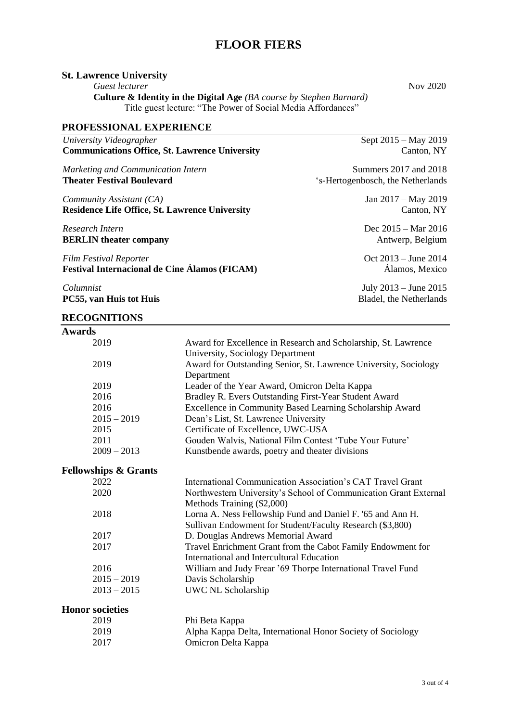### **St. Lawrence University**

**Guest lecturer** Nov 2020

**Culture & Identity in the Digital Age** *(BA course by Stephen Barnard)* Title guest lecture: "The Power of Social Media Affordances"

## **PROFESSIONAL EXPERIENCE**

| University Videographer                               |  |
|-------------------------------------------------------|--|
| <b>Communications Office, St. Lawrence University</b> |  |

*Marketing and Communication Intern* **Theater Festival Boulevard**

*Community Assistant (CA)* **Residence Life Office, St. Lawrence University**

*Research Intern* **BERLIN theater company**

*Film Festival Reporter* **Festival Internacional de Cine Álamos (FICAM)**

*Columnist* **PC55, van Huis tot Huis**

#### **RECOGNITIONS**

Sept 2015 – May 2019 Canton, NY

Summers 2017 and 2018 's-Hertogenbosch, the Netherlands

> Jan 2017 – May 2019 Canton, NY

> Dec 2015 – Mar 2016 Antwerp, Belgium

> Oct 2013 – June 2014 Álamos, Mexico

July 2013 – June 2015 Bladel, the Netherlands

| <b>Awards</b>                   |                                                                  |
|---------------------------------|------------------------------------------------------------------|
| 2019                            | Award for Excellence in Research and Scholarship, St. Lawrence   |
|                                 | University, Sociology Department                                 |
| 2019                            | Award for Outstanding Senior, St. Lawrence University, Sociology |
|                                 | Department                                                       |
| 2019                            | Leader of the Year Award, Omicron Delta Kappa                    |
| 2016                            | Bradley R. Evers Outstanding First-Year Student Award            |
| 2016                            | Excellence in Community Based Learning Scholarship Award         |
| $2015 - 2019$                   | Dean's List, St. Lawrence University                             |
| 2015                            | Certificate of Excellence, UWC-USA                               |
| 2011                            | Gouden Walvis, National Film Contest 'Tube Your Future'          |
| $2009 - 2013$                   | Kunstbende awards, poetry and theater divisions                  |
| <b>Fellowships &amp; Grants</b> |                                                                  |
| 2022                            | International Communication Association's CAT Travel Grant       |
| 2020                            | Northwestern University's School of Communication Grant External |
|                                 | Methods Training (\$2,000)                                       |
| 2018                            | Lorna A. Ness Fellowship Fund and Daniel F. '65 and Ann H.       |
|                                 | Sullivan Endowment for Student/Faculty Research (\$3,800)        |
| 2017                            | D. Douglas Andrews Memorial Award                                |
| 2017                            | Travel Enrichment Grant from the Cabot Family Endowment for      |
|                                 | <b>International and Intercultural Education</b>                 |
| 2016                            | William and Judy Frear '69 Thorpe International Travel Fund      |
| $2015 - 2019$                   | Davis Scholarship                                                |
| $2013 - 2015$                   | UWC NL Scholarship                                               |
| <b>Honor</b> societies          |                                                                  |
| 2019                            | Phi Beta Kappa                                                   |
| 2019                            | Alpha Kappa Delta, International Honor Society of Sociology      |
| 2017                            | Omicron Delta Kappa                                              |